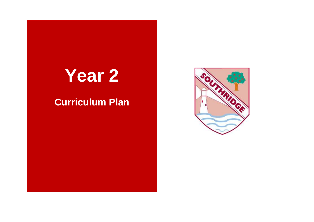## **Year 2**

## **Curriculum Plan**

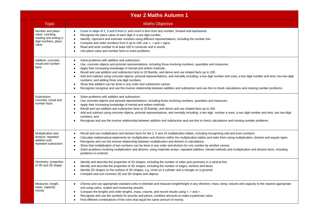|                                                                                                 | <b>Year 2 Maths Autumn 1</b>                                                                                                                                                                                                                                                                                                                                                                                                                                                                                                                                                                                                                                                                                                                                                                                                                                                                       |
|-------------------------------------------------------------------------------------------------|----------------------------------------------------------------------------------------------------------------------------------------------------------------------------------------------------------------------------------------------------------------------------------------------------------------------------------------------------------------------------------------------------------------------------------------------------------------------------------------------------------------------------------------------------------------------------------------------------------------------------------------------------------------------------------------------------------------------------------------------------------------------------------------------------------------------------------------------------------------------------------------------------|
| <b>Topic</b>                                                                                    | <b>Maths Objective</b>                                                                                                                                                                                                                                                                                                                                                                                                                                                                                                                                                                                                                                                                                                                                                                                                                                                                             |
| Number and place<br>value: counting,<br>reading and writing 2-<br>digit numbers, place<br>value | Count in steps of 2, 3 and 5 from 0, and count in tens from any number, forward and backwards.<br>$\bullet$<br>Recognise the place value of each digit in a two digit number.<br>$\bullet$<br>Identify, represent and estimate numbers using different representations, including the number line.<br>$\bullet$<br>Compare and order numbers from 0 up to 100; use $\lt$ , $>$ and $=$ signs.<br>$\bullet$<br>Read and write number to at least 100 in numerals and in words.<br>$\bullet$<br>Use place value and number facts to solve problems.                                                                                                                                                                                                                                                                                                                                                  |
| Addition: concrete.<br>visual and number<br>facts                                               | Solve problems with addition and subtraction:<br>$\bullet$<br>Use concrete objects and pictorial representations, including those involving numbers, quantities and measures.<br>$\bullet$<br>Apply their increasing knowledge of mental and written methods.<br>$\bullet$<br>Recall and use addition and subtraction facts to 20 fluently, and derive and use related facts up to 100.<br>$\bullet$<br>Add and subtract using concrete objects, pictorial representations, and mentally including: a two digit number and ones; a two digit number and tens; two two-digit<br>$\bullet$<br>numbers; and adding three one-digit numbers.<br>Show that addition can be done in any order and subtraction cannot.<br>$\bullet$<br>Recognise recognise and use the inverse relationship between addition and subtraction and use this to check calculations and missing number problems.<br>$\bullet$ |
| Subtraction:<br>concrete, visual and<br>number facts                                            | Solve problems with addition and subtraction:<br>$\bullet$<br>Use concrete objects and pictorial representations, including those involving numbers, quantities and measures.<br>٠<br>Apply their increasing knowledge of mental and written methods.<br>$\bullet$<br>Recall and use addition and subtraction facts to 20 fluently, and derive and use related facts up to 100.<br>$\bullet$<br>Add and subtract using concrete objects, pictorial representations, and mentally including: a two digit number a ones; a two digit number and tens; two two-digit<br>$\bullet$<br>numbers; and<br>Recognise and use the inverse relationship between addition and subtraction and use this to check calculations and missing number problems.<br>٠                                                                                                                                                 |
| Multiplication and<br>division: repeated<br>addition and<br>repeated subtraction                | Recall and use multiplication and division facts for the 2, 5 and 10 multiplication tables, including recognising odd and even numbers.<br>$\bullet$<br>Calculate mathematical statements for multiplication and division within the multiplication tables and write them using multiplication, division and equals signs.<br>$\bullet$<br>Recognise and use the inverse relationship between multiplication and division in calculations.<br>$\bullet$<br>Show that multiplication of two numbers can be done in any order and division for one number by another cannot.<br>$\bullet$<br>Solve problems involving multiplication and division, using materials arrays, repeated addition, mental methods and multiplication and division facts, including<br>$\bullet$<br>problems in contexts.                                                                                                  |
| Geometry: properties<br>of 3D and 2D shape                                                      | Identify and describe the properties of 2D shapes, including the number of sides and symmetry in a vertical line.<br>$\bullet$<br>Identify and describe the properties of 3D shapes, including the number of edges, vertices and faces.<br>$\bullet$<br>Identify 2D shapes on the surface of 3D shapes, e.g. circle on a cylinder and a triangle on a pyramid.<br>$\bullet$<br>Compare and sort common 2D and 3D shapes and objects.<br>$\bullet$                                                                                                                                                                                                                                                                                                                                                                                                                                                  |
| Measures: length,<br>mass, capacity,<br>money                                                   | Choose and use appropriate standard units to estimate and measure length/height in any direction; mass; temp; volume and capacity to the nearest appropriate<br>$\bullet$<br>unit using rulers, scaled and measuring vessels.<br>Compare the lengths and order lengths, mass, volume, and record results using $>$ , < and =.<br>$\bullet$<br>Recognise and use the symbols for pounds and pence; combine amounts to make a particular value.<br>$\bullet$<br>Find different combinations of the coins that equal the same amount of money.<br>$\bullet$                                                                                                                                                                                                                                                                                                                                           |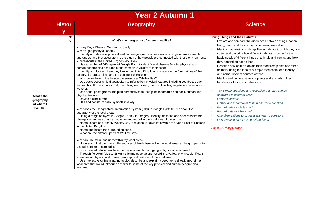| <b>Year 2 Autumn 1</b>                                                                                                                                                                                                                                                                                                                                                                                                                                                                                                                                                                                                                                                                                                                                                                                                                                                                                                                                                                                                                                                                                                                                                                                                                                                                                                                                                                                                                                                                                                                                                                                                                                                                                                                                                                                                                                                                                                                                                                                                                                                                                                                                                                                                                                                                                                                                                                                                                                                                                                                                              |                                                                                                                                                                                                                                                                                                                                                                                                                                                                                                                                                                                                                                                                                                                                                                                                                                                                                                                                                                                                                                            |
|---------------------------------------------------------------------------------------------------------------------------------------------------------------------------------------------------------------------------------------------------------------------------------------------------------------------------------------------------------------------------------------------------------------------------------------------------------------------------------------------------------------------------------------------------------------------------------------------------------------------------------------------------------------------------------------------------------------------------------------------------------------------------------------------------------------------------------------------------------------------------------------------------------------------------------------------------------------------------------------------------------------------------------------------------------------------------------------------------------------------------------------------------------------------------------------------------------------------------------------------------------------------------------------------------------------------------------------------------------------------------------------------------------------------------------------------------------------------------------------------------------------------------------------------------------------------------------------------------------------------------------------------------------------------------------------------------------------------------------------------------------------------------------------------------------------------------------------------------------------------------------------------------------------------------------------------------------------------------------------------------------------------------------------------------------------------------------------------------------------------------------------------------------------------------------------------------------------------------------------------------------------------------------------------------------------------------------------------------------------------------------------------------------------------------------------------------------------------------------------------------------------------------------------------------------------------|--------------------------------------------------------------------------------------------------------------------------------------------------------------------------------------------------------------------------------------------------------------------------------------------------------------------------------------------------------------------------------------------------------------------------------------------------------------------------------------------------------------------------------------------------------------------------------------------------------------------------------------------------------------------------------------------------------------------------------------------------------------------------------------------------------------------------------------------------------------------------------------------------------------------------------------------------------------------------------------------------------------------------------------------|
| <b>Histor</b><br><b>Geography</b><br>$\mathbf{V}$                                                                                                                                                                                                                                                                                                                                                                                                                                                                                                                                                                                                                                                                                                                                                                                                                                                                                                                                                                                                                                                                                                                                                                                                                                                                                                                                                                                                                                                                                                                                                                                                                                                                                                                                                                                                                                                                                                                                                                                                                                                                                                                                                                                                                                                                                                                                                                                                                                                                                                                   | <b>Science</b>                                                                                                                                                                                                                                                                                                                                                                                                                                                                                                                                                                                                                                                                                                                                                                                                                                                                                                                                                                                                                             |
| N/<br>What's the geography of where I live like?<br>A<br>Whitley Bay - Physical Geography Study.<br>$\mathbf{r}$<br>What is geography all about?<br>• Identify and describe physical and human geographical features of a range of environments<br>and understand that geography is the study of how people are connected with these environments<br>Whereabouts in the United Kingdom do I live?<br>• Use a number of GIS layers of Google Earth to identify and observe familiar physical and<br>$\alpha$<br>human geographical features of the immediate vicinity of their school<br>• Identify and locate where they live in the United Kingdom in relation to the four nations of the<br>country, its largest cities and the continent of Europe<br>• Why do we love to live beside the seaside at Whitley Bay?<br>×<br>• Use basic geographical vocabulary to refer to key physical features including vocabulary such<br>as beach, cliff, coast, forest, hill, mountain, sea, ocean, river, soil, valley, vegetation, season and<br>weather.<br>×<br>• Use aerial photographs and plan perspectives to recognise landmarks and basic human and<br>physical features.<br>What's the<br>• Devise a simple map.<br>×<br>geography<br>• Use and construct basic symbols in a key.<br>×<br>of where I<br>×<br>live like?<br>What does the Geographical Information System (GIS) in Google Earth tell me about the<br>×.<br>geography of the local area?<br>• Using a range of layers in Google Earth GIS imagery, identify, describe and offer reasons for<br>×.<br>changes in land use they can observe and record in the local area of the school<br>×.<br>• Name, locate and identify Whitley Bay in relation to Newcastle within the North East of England<br>in the United Kingdom.<br>• Name and locate the surrounding seas.<br>• What are the different parts of Whitley Bay?<br>What are the main land uses within my local area?<br>• Understand that the many different uses of land observed in the local area can be grouped into<br>a small number of categories<br>How can we introduce people to the physical and human geography of our local area?<br>• Through fieldwork Visit to St Mary's Island observe and record in a variety of ways, significant<br>examples of physical and human geographical features of the local area<br>• Use interactive online mapping to plot, describe and explain a geographical walk around the<br>local area that would introduce a visitor to some of the key physical and human geographical<br>features | <b>Living Things and their Habitats</b><br>Explore and compare the differences between things that are<br>living, dead, and things that have never been alive.<br>Identify that most living things live in habitats to which they are<br>suited and describe how different habitats. provide for the<br>basic needs of different kinds of animals and plants, and how<br>they depend on each other.<br>Describe how animals obtain their food from plants and other<br>animals, using the idea of a simple food chain, and identify<br>and name different sources of food.<br>Identify and name a variety of plants and animals in their<br>habitats, including micro-habitats.<br>Ask simple questions and recognise that they can be<br>answered in different ways.<br>Observe closely.<br>Gather and record data to help answer a question.<br>Record data in a tally chart.<br>Record data in a bar chart.<br>Use observations to suggest answers to questions.<br>Observe using a microscope/hand lens.<br>Visit to St. Mary's island |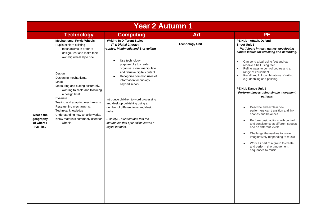| <b>Year 2 Autumn 1</b>                              |                                                                                                                                                                                                                                                                                                                                                                                                                                                                             |                                                                                                                                                                                                                                                                                                                                                                                                                                                                                                                                                   |                        |                                                                                                                                                                                                                                                                                                                                                                                                                                                                                                                                                                                                                                                                                                                                                                                                                                                                   |  |
|-----------------------------------------------------|-----------------------------------------------------------------------------------------------------------------------------------------------------------------------------------------------------------------------------------------------------------------------------------------------------------------------------------------------------------------------------------------------------------------------------------------------------------------------------|---------------------------------------------------------------------------------------------------------------------------------------------------------------------------------------------------------------------------------------------------------------------------------------------------------------------------------------------------------------------------------------------------------------------------------------------------------------------------------------------------------------------------------------------------|------------------------|-------------------------------------------------------------------------------------------------------------------------------------------------------------------------------------------------------------------------------------------------------------------------------------------------------------------------------------------------------------------------------------------------------------------------------------------------------------------------------------------------------------------------------------------------------------------------------------------------------------------------------------------------------------------------------------------------------------------------------------------------------------------------------------------------------------------------------------------------------------------|--|
|                                                     | <b>Technology</b>                                                                                                                                                                                                                                                                                                                                                                                                                                                           | <b>Computing</b>                                                                                                                                                                                                                                                                                                                                                                                                                                                                                                                                  | <b>Art</b>             | <b>PE</b>                                                                                                                                                                                                                                                                                                                                                                                                                                                                                                                                                                                                                                                                                                                                                                                                                                                         |  |
| What's the<br>geography<br>of where I<br>live like? | <b>Mechanisms: Ferris Wheels</b><br>Pupils explore existing<br>mechanisms in order to<br>design, test and make their<br>own big wheel style ride.<br>Design<br>Designing mechanisms.<br>Make<br>Measuring and cutting accurately,<br>working to scale and following<br>a design brief.<br>Evaluate<br>Testing and adapting mechanisms.<br>Researching mechanisms.<br>Technical knowledge<br>Understanding how an axle works.<br>Know materials commonly used for<br>wheels. | <b>Writing In Different Styles</b><br><b>IT &amp; Digital Literacy</b><br>raphics, Multimedia and Storytelling<br>Use technology<br>purposefully to create,<br>organise, store, manipulate<br>and retrieve digital content.<br>Recognise common uses of<br>$\bullet$<br>information technology<br>beyond school.<br>Introduce children to word processing<br>and desktop publishing using a<br>number of different tools and design<br>tasks.<br>E safety: To understand that the<br>information that I put online leaves a<br>digital footprint. | <b>Technology Unit</b> | PE Hub - Attack, Defend<br><b>Shoot Unit 1</b><br>Participate in team games, developing<br>simple tactics for attacking and defending.<br>Can send a ball using feet and can<br>$\bullet$<br>receive a ball using feet.<br>Refine ways to control bodies and a<br>$\bullet$<br>range of equipment.<br>Recall and link combinations of skills,<br>$\bullet$<br>e.g. dribbling and passing.<br>PE Hub Dance Unit 1<br>Perform dances using simple movement<br>patterns<br>Describe and explain how<br>$\bullet$<br>performers can transition and link<br>shapes and balances.<br>Perform basic actions with control<br>and consistency at different speeds<br>and on different levels.<br>Challenge themselves to move<br>$\bullet$<br>imaginatively responding to music.<br>Work as part of a group to create<br>and perform short movement<br>sequences to music. |  |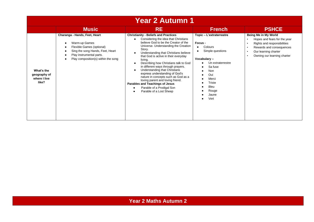|                                                     | <b>Year 2 Autumn 1</b>                                                                                                                                                                  |                                                                                                                                                                                                                                                                                                                                                                                                                                                                                                                                                                                                   |                                                                                                                                                                                                                              |                                                                                                                                                                        |  |  |
|-----------------------------------------------------|-----------------------------------------------------------------------------------------------------------------------------------------------------------------------------------------|---------------------------------------------------------------------------------------------------------------------------------------------------------------------------------------------------------------------------------------------------------------------------------------------------------------------------------------------------------------------------------------------------------------------------------------------------------------------------------------------------------------------------------------------------------------------------------------------------|------------------------------------------------------------------------------------------------------------------------------------------------------------------------------------------------------------------------------|------------------------------------------------------------------------------------------------------------------------------------------------------------------------|--|--|
|                                                     | <b>Music</b>                                                                                                                                                                            | <b>RE</b>                                                                                                                                                                                                                                                                                                                                                                                                                                                                                                                                                                                         | <b>French</b>                                                                                                                                                                                                                | <b>PSHCE</b>                                                                                                                                                           |  |  |
| What's the<br>geography of<br>where I live<br>like? | Charanga - Hands, Feet, Heart<br>Warm-up Games<br>Flexible Games (optional)<br>Sing the song Hands, Feet, Heart<br>Play instrumental parts.<br>Play composition(s) within the song<br>٠ | <b>Christianity - Beliefs and Practices</b><br>Considering the idea that Christians<br>believe God to be the Creator of the<br>Universe. Understanding the Creation<br>Story.<br>Understanding that Christians believe<br>that God is active in their everyday<br>living.<br>Describing how Christians talk to God<br>in different ways through prayers.<br>Understanding that Christians<br>express understanding of God's<br>nature in concepts such as God as a<br>loving parent and loving friend.<br>Parables and Teachings of Jesus<br>Parable of a Prodigal Son<br>Parable of a Lost Sheep | Topic - L'extraterrestre<br>Focus -<br>Colours<br>$\bullet$<br>Simple questions<br>$\bullet$<br>Vocabulary-<br>Un extraterrestre<br>Sa fuse<br><b>Non</b><br>Oui<br>Merci<br>Triste<br><b>Bleu</b><br>Rouge<br>Jaune<br>Vert | Being Me in My World<br>Hopes and fears for the year<br>Rights and responsibilities<br>Rewards and consequences<br>Our learning charter<br>Owning our learning charter |  |  |

## **Year 2 Maths Autumn 2**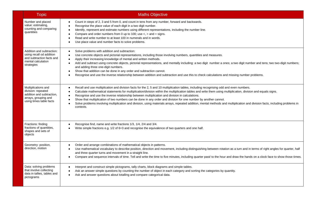| <b>Topic</b>                                                                                                              | <b>Maths Objective</b>                                                                                                                                                                                                                                                                                                                                                                                                                                                                                                                                                                                                                                                                                                                                                                        |
|---------------------------------------------------------------------------------------------------------------------------|-----------------------------------------------------------------------------------------------------------------------------------------------------------------------------------------------------------------------------------------------------------------------------------------------------------------------------------------------------------------------------------------------------------------------------------------------------------------------------------------------------------------------------------------------------------------------------------------------------------------------------------------------------------------------------------------------------------------------------------------------------------------------------------------------|
| Number and placed<br>value: estimating,<br>counting and comparing<br>quantities                                           | Count in steps of 2, 3 and 5 from 0, and count in tens from any number, forward and backwards.<br>$\bullet$<br>Recognise the place value of each digit in a two digit number.<br>$\bullet$<br>Identify, represent and estimate numbers using different representations, including the number line.<br>$\bullet$<br>Compare and order numbers from 0 up to 100; use $\lt$ , $>$ and $=$ signs.<br>$\bullet$<br>Read and write number to at least 100 in numerals and in words.<br>Use place value and number facts to solve problems.<br>$\bullet$                                                                                                                                                                                                                                             |
| Addition and subtraction:<br>using recall od addition<br>and subtraction facts and<br>mental calculation<br>strategies    | Solve problems with addition and subtraction:<br>$\bullet$<br>Use concrete objects and pictorial representations, including those involving numbers, quantities and measures.<br>$\bullet$<br>Apply their increasing knowledge of mental and written methods.<br>$\bullet$<br>Add and subtract using concrete objects, pictorial representations, and mentally including: a two digit number a ones; a two digit number and tens; two two-digit numbers;<br>$\bullet$<br>and adding three one-digit numbers.<br>Show that addition can be done in any order and subtraction cannot.<br>$\bullet$<br>Recognise and use the inverse relationship between addition and subtraction and use this to check calculations and missing number problems.                                               |
| Multiplications and<br>division: repeated<br>addition and subtraction,<br>arrays, grouping and<br>using times table facts | Recall and use multiplication and division facts for the 2, 5 and 10 multiplication tables, including recognising odd and even numbers.<br>$\bullet$<br>Calculate mathematical statements for multiplication/division within the multiplication tables and write them using multiplication, division and equals signs.<br>$\bullet$<br>Recognise and use the inverse relationship between multiplication and division in calculations.<br>$\bullet$<br>Show that multiplication of two numbers can be done in any order and division for one number by another cannot.<br>$\bullet$<br>Solve problems involving multiplication and division, using materials arrays, repeated addition, mental methods and multiplication and division facts, including problems in<br>$\bullet$<br>contexts. |
| Fractions: finding<br>fractions of quantities,<br>shapes and sets of<br>objects                                           | Recognise find, name and write fractions 1/3, 1/4, 2/4 and 3/4.<br>$\bullet$<br>Write simple fractions e.g. 1/2 of 6=3 and recognise the equivalence of two quarters and one half.                                                                                                                                                                                                                                                                                                                                                                                                                                                                                                                                                                                                            |
| Geometry: position,<br>direction, motion                                                                                  | Order and arrange combinations of mathematical objects in patterns.<br>Use mathematical vocabulary to describe position, direction and movement, including distinguishing between rotation as a turn and in terms of right angles for quarter, half<br>$\bullet$<br>and three quarter turns and movement in a straight line.<br>Compare and sequence intervals of time. Tell and write the time to five minutes, including quarter past/ to the hour and draw the hands on a clock face to show those times.<br>$\bullet$                                                                                                                                                                                                                                                                     |
| Data: solving problems<br>that involve collecting<br>data in tallies, tables and<br>pictograms                            | Interpret and construct simple pictograms, tally charts, block diagrams and simple tables.<br>$\bullet$<br>Ask an answer simple questions by counting the number of object in each category and sorting the categories by quantity.<br>$\bullet$<br>Ask and answer questions about totalling and compare categorical data.<br>$\bullet$                                                                                                                                                                                                                                                                                                                                                                                                                                                       |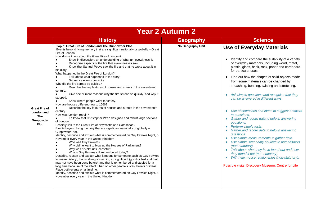|                                                                 | <b>Year 2 Autumn 2</b>                                                                                                                                                                                                                                                                                                                                                                                                                                                                                                                                                                                                                                                                                                                                                                                                                                                                                                                                                                                                                                                                                                                                                                                                                                                                                                                                                                                                                                                                                                                                                                                                                                                                                                                                                                                                                                                                                                                                                                                                                                 |                   |                                                                                                                                                                                                                                                                                                                                                                                                                                                                                                                                                                                                                                                                                                                                                                                                                                                                                                                                                                                                                       |  |  |
|-----------------------------------------------------------------|--------------------------------------------------------------------------------------------------------------------------------------------------------------------------------------------------------------------------------------------------------------------------------------------------------------------------------------------------------------------------------------------------------------------------------------------------------------------------------------------------------------------------------------------------------------------------------------------------------------------------------------------------------------------------------------------------------------------------------------------------------------------------------------------------------------------------------------------------------------------------------------------------------------------------------------------------------------------------------------------------------------------------------------------------------------------------------------------------------------------------------------------------------------------------------------------------------------------------------------------------------------------------------------------------------------------------------------------------------------------------------------------------------------------------------------------------------------------------------------------------------------------------------------------------------------------------------------------------------------------------------------------------------------------------------------------------------------------------------------------------------------------------------------------------------------------------------------------------------------------------------------------------------------------------------------------------------------------------------------------------------------------------------------------------------|-------------------|-----------------------------------------------------------------------------------------------------------------------------------------------------------------------------------------------------------------------------------------------------------------------------------------------------------------------------------------------------------------------------------------------------------------------------------------------------------------------------------------------------------------------------------------------------------------------------------------------------------------------------------------------------------------------------------------------------------------------------------------------------------------------------------------------------------------------------------------------------------------------------------------------------------------------------------------------------------------------------------------------------------------------|--|--|
|                                                                 | <b>History</b>                                                                                                                                                                                                                                                                                                                                                                                                                                                                                                                                                                                                                                                                                                                                                                                                                                                                                                                                                                                                                                                                                                                                                                                                                                                                                                                                                                                                                                                                                                                                                                                                                                                                                                                                                                                                                                                                                                                                                                                                                                         | <b>Geography</b>  | <b>Science</b>                                                                                                                                                                                                                                                                                                                                                                                                                                                                                                                                                                                                                                                                                                                                                                                                                                                                                                                                                                                                        |  |  |
| Great Fire of<br>London and<br><b>The</b><br>Gunpowder<br>Plot. | Topic: Great Fire of London and The Gunpowder Plot.<br>Events beyond living memory that are significant nationally or globally - Great<br>Fire of London.<br>How do we know about the Great Fire of London?<br>Show in discussion, an understanding of what an 'eyewitness' is.<br>Recognise aspects of the fire that eyewitnesses saw.<br>Know that Samuel Pepys saw the fire and that he wrote about it in<br>his diary.<br>What happened in the Great Fire of London?<br>Talk about what happened in the story.<br>Sequence events correctly.<br>Why did the fire spread so quickly?<br>Describe the key features of houses and streets in the seventeenth<br>$\bullet$<br>century.<br>Give one or more reasons why the fire spread so quickly, and why it<br>$\bullet$<br>stopped.<br>Know where people went for safety.<br>How are houses different now to 1666?<br>Describe the key features of houses and streets in the seventeenth<br>$\bullet$<br>century.<br>How was London rebuilt?<br>To know that Christopher Wren designed and rebuilt large sections<br>$\bullet$<br>of London.<br>Possibly link to the Great Fire of Newcastle and Gateshead?<br>Events beyond living memory that are significant nationally or globally -<br>Gunpowder Plot.<br>Identify, describe and explain what is commemorated on Guy Fawkes Night, 5<br>November every year in the United Kingdom<br>Who was Guy Fawkes?<br>Why did he want to blow up the Houses of Parliament?<br>Why was his plot unsuccessful?<br>Why is Guy Fawkes still remembered today?<br>Describe, reason and explain what it means for someone such as Guy Fawkes<br>to 'make history', that is, doing something so significant (good or bad and that<br>may not have been done before) and that is remembered and studied for a<br>long time because of the effect it had on other people's lives, beliefs or ideas<br>Place both events on a timeline.<br>Identify, describe and explain what is commemorated on Guy Fawkes Night, 5<br>November every year in the United Kingdom | No Geography Unit | <b>Use of Everyday Materials</b><br>Identify and compare the suitability of a variety<br>of everyday materials, including wood, metal,<br>plastic, glass, brick, rock, paper and cardboard<br>for particular uses.<br>Find out how the shapes of solid objects made<br>from some materials can be changed by<br>squashing, bending, twisting and stretching.<br>Ask simple questions and recognise that they<br>can be answered in different ways.<br>Use observations and ideas to suggest answers<br>$\bullet$<br>to questions.<br>• Gather and record data to help in answering<br>questions.<br>• Perform simple tests.<br>Gather and record data to help in answering<br>questions.<br>Use simple measurements to gather data.<br>Use simple secondary sources to find answers<br>(non-statutory).<br>• Talk about what they have found out and how<br>they found it out (non-statutory).<br>With help, notice relationships (non-statutory).<br>$\bullet$<br>Possible visits: Discovery Museum; Centre for Life |  |  |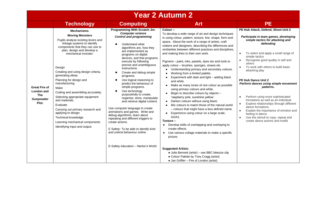| <b>PE</b><br><b>Technology</b><br><b>Computing</b><br><b>Art</b><br>PE Hub Attack, Defend, Shoot Unit 2<br>Programming With Scratch Jnr.<br>Colour-<br><b>Mechanisms:</b><br><b>Computer science</b><br>To develop a wide range of art and design techniques<br><b>Moving Monsters</b><br><b>Control and programming</b><br>in using colour, pattern, texture, line, shape, form and<br>Pupils analyse existing levers and<br>simple tactics for attacking and<br>space. About the work of a range of artists, craft<br>linkage systems to identify<br>defending<br>Understand what<br>makers and designers, describing the differences and<br>components that they can use to<br>algorithms are, how they<br>similarities between different practices and disciplines,<br>plan, design and develop a<br>are implemented as<br>To select and apply a small range of<br>and making links to their own work.<br>mechanical monster.<br>$\bullet$<br>programs on digital<br>simple tactics<br>devices, and that programs<br>Recognise good quality in self and<br>$\bullet$<br>execute by following<br>Pigment – paint, inks, pastels, dyes etc and tools to<br>others<br>precise and unambiguous<br>apply colour - brushes, sponges, straws etc<br>To work with others to build basic<br>$\bullet$<br>Design<br>instructions.<br>Understanding primary and secondary colours.<br>attacking play<br>Creating and using design criteria,<br>Create and debug simple<br>$\bullet$<br>Working from a limited palette.<br>$\bullet$<br>generating ideas.<br>programs.<br>Experiment with dark and light - adding black<br>٠<br>Planning for design and<br>Use logical reasoning to<br>PE Hub Dance Unit 2<br>$\bullet$<br>and white.<br>manufacturing.<br>predict the behaviour of<br>Make as many tones of one colour as possible<br>$\bullet$<br><b>Great Fire of</b><br>simple programs.<br>patterns.<br>Make<br>using primary colours and white.<br><b>London</b> and<br>Use technology<br>$\bullet$<br>Cutting and assembling accurately.<br>Begin to describe colours by objects -<br>$\bullet$<br>purposefully to create,<br><b>The</b><br>Perform using more sophisticated<br>Selecting appropriate equipment<br>'raspberry pink, sunshine yellow'.<br>$\bullet$<br>organise, store, manipulate<br>Gunpowder<br>formations as well as an individual<br>and materials.<br>Darken colours without using black.<br>and retrieve digital content.<br>٠<br>Plot.<br>$\bullet$<br>Mix colours to match those of the natural world<br>Evaluate<br>$\bullet$<br>dance formations<br>Use computer language to create<br>- colours that might have a less defined name.<br>Carrying out primary research and<br>$\bullet$<br>animations and games. Write and<br>Experience using colour on a large scale,<br>applying to design.<br>$\bullet$<br>feeling in dance<br>debug algorithms, learn about<br>A3/A2.<br>Use the stimuli to copy, repeat and<br>Technical knowledge<br>$\bullet$<br>repeating and different triggers to<br>create dance actions and motifs<br>Texture –<br>Learning mechanical components.<br>create actions.<br>Develop skills of overlapping and overlaying to<br>$\bullet$<br>Identifying input and output.<br>create effects.<br>E Safety: To be able to identify kind | <b>Year 2 Autumn 2</b> |                              |                                                  |                                                                                                                                                                   |  |  |
|------------------------------------------------------------------------------------------------------------------------------------------------------------------------------------------------------------------------------------------------------------------------------------------------------------------------------------------------------------------------------------------------------------------------------------------------------------------------------------------------------------------------------------------------------------------------------------------------------------------------------------------------------------------------------------------------------------------------------------------------------------------------------------------------------------------------------------------------------------------------------------------------------------------------------------------------------------------------------------------------------------------------------------------------------------------------------------------------------------------------------------------------------------------------------------------------------------------------------------------------------------------------------------------------------------------------------------------------------------------------------------------------------------------------------------------------------------------------------------------------------------------------------------------------------------------------------------------------------------------------------------------------------------------------------------------------------------------------------------------------------------------------------------------------------------------------------------------------------------------------------------------------------------------------------------------------------------------------------------------------------------------------------------------------------------------------------------------------------------------------------------------------------------------------------------------------------------------------------------------------------------------------------------------------------------------------------------------------------------------------------------------------------------------------------------------------------------------------------------------------------------------------------------------------------------------------------------------------------------------------------------------------------------------------------------------------------------------------------------------------------------------------------------------------------------------------------------------------------------------------------------------------------------------------------------------------------------------------------------------------------------------------------------------------------------------------------------------------------------------------------------------------------------------------------------------------------------------------------------------------------------------------------------------|------------------------|------------------------------|--------------------------------------------------|-------------------------------------------------------------------------------------------------------------------------------------------------------------------|--|--|
|                                                                                                                                                                                                                                                                                                                                                                                                                                                                                                                                                                                                                                                                                                                                                                                                                                                                                                                                                                                                                                                                                                                                                                                                                                                                                                                                                                                                                                                                                                                                                                                                                                                                                                                                                                                                                                                                                                                                                                                                                                                                                                                                                                                                                                                                                                                                                                                                                                                                                                                                                                                                                                                                                                                                                                                                                                                                                                                                                                                                                                                                                                                                                                                                                                                                                          |                        |                              |                                                  |                                                                                                                                                                   |  |  |
| picture.<br>E-Safety education - Hector's World<br><b>Suggested Artists:</b><br>• Julie Bennett (artist) – see BBC bitesize clip<br>• Colour Palette by Tony Cragg (artist)<br>• Jan Griffier - Fire of London (artist)                                                                                                                                                                                                                                                                                                                                                                                                                                                                                                                                                                                                                                                                                                                                                                                                                                                                                                                                                                                                                                                                                                                                                                                                                                                                                                                                                                                                                                                                                                                                                                                                                                                                                                                                                                                                                                                                                                                                                                                                                                                                                                                                                                                                                                                                                                                                                                                                                                                                                                                                                                                                                                                                                                                                                                                                                                                                                                                                                                                                                                                                  |                        | and unkind behaviour online. | Use various collage materials to make a specific | Participate in team games, developing<br>Perform dances using simple movement<br>Explore relationships through different<br>Explain the importance of emotion and |  |  |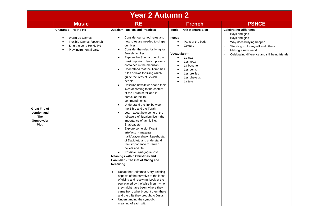|                                                                        |                                                                                                                        | <b>Year 2 Autumn 2</b>                                                                                                                                                                                                                                                                                                                                                                                                                                                                                                                                                                                                                                                                                                                                                                                                                                                                                                                                                                                                                                                                                                                                                                                                                                                                                                                                                                                                                                                            |                                                                                                                                                                                                                             |                                                                                                                                                                                                                                                                                           |
|------------------------------------------------------------------------|------------------------------------------------------------------------------------------------------------------------|-----------------------------------------------------------------------------------------------------------------------------------------------------------------------------------------------------------------------------------------------------------------------------------------------------------------------------------------------------------------------------------------------------------------------------------------------------------------------------------------------------------------------------------------------------------------------------------------------------------------------------------------------------------------------------------------------------------------------------------------------------------------------------------------------------------------------------------------------------------------------------------------------------------------------------------------------------------------------------------------------------------------------------------------------------------------------------------------------------------------------------------------------------------------------------------------------------------------------------------------------------------------------------------------------------------------------------------------------------------------------------------------------------------------------------------------------------------------------------------|-----------------------------------------------------------------------------------------------------------------------------------------------------------------------------------------------------------------------------|-------------------------------------------------------------------------------------------------------------------------------------------------------------------------------------------------------------------------------------------------------------------------------------------|
|                                                                        | <b>Music</b>                                                                                                           | <b>RE</b>                                                                                                                                                                                                                                                                                                                                                                                                                                                                                                                                                                                                                                                                                                                                                                                                                                                                                                                                                                                                                                                                                                                                                                                                                                                                                                                                                                                                                                                                         | <b>French</b>                                                                                                                                                                                                               | <b>PSHCE</b>                                                                                                                                                                                                                                                                              |
| <b>Great Fire of</b><br>London and<br><b>The</b><br>Gunpowder<br>Plot. | Charanga - Ho Ho Ho<br>Warm-up Games<br>Flexible Games (optional)<br>Sing the song Ho Ho Ho<br>Play instrumental parts | <b>Judaism - Beliefs and Practices</b><br>Consider our school rules and<br>٠<br>how rules are needed to shape<br>our lives.<br>Consider the rules for living for<br>٠<br>Jewish families.<br>Explore the Shema one of the<br>$\bullet$<br>most important Jewish prayers<br>contained in the mezuzah.<br>Understand that the Torah has<br>$\bullet$<br>rules or laws for living which<br>guide the lives of Jewish<br>people.<br>Describe how Jews shape their<br>$\bullet$<br>lives according to the content<br>of the Torah scroll and in<br>particular the 10<br>commandments.<br>Understand the link between<br>$\bullet$<br>the Bible and the Torah.<br>Learn about how some of the<br>$\bullet$<br>followers of Judaism live - the<br>importance of family life;<br>Shabbat etc.<br>Explore some significant<br>$\bullet$<br>artefacts - mezuzah<br>,tallit/prayer shawl, kippah, star<br>of David etc and understand<br>their importance to Jewish<br>beliefs and life.<br>Possible Synagogue Visit.<br>$\bullet$<br><b>Meanings within Christmas and</b><br>Hanukkah - The Gift of Giving and<br>Receiving<br>Recap the Christmas Story, relating<br>$\bullet$<br>aspects of the narrative to the ideas<br>of giving and receiving. Look at the<br>part played by the Wise Men - who<br>they might have been, where they<br>came from, what brought them there<br>and the gifts they brought to Jesus.<br>Understanding the symbolic<br>$\bullet$<br>meaning of each gift. | <b>Topic - Petit Monstre Bleu</b><br>Focus-<br>Parts of the body<br>$\bullet$<br>Colours<br>$\bullet$<br>Vocabulary-<br>Le nez<br>$\bullet$<br>Les yeux<br>La bouche<br>Les dents<br>Les oreilles<br>Les cheveux<br>La tete | <b>Celebrating Difference</b><br>$\bullet$<br>Boys and girls<br>$\bullet$<br>Boys and girls<br>$\bullet$<br>Why does bullying happen<br>Standing up for myself and others<br>$\bullet$<br>Making a new friend<br>$\bullet$<br>Celebrating difference and still being friends<br>$\bullet$ |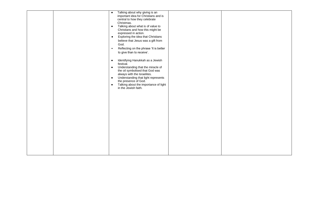|  | Talking about why giving is an<br>$\bullet$<br>important idea for Christians and is<br>central to how they celebrate<br>Christmas.<br>Talking about what is of value to<br>$\bullet$<br>Christians and how this might be<br>expressed in action.<br>Exploring the idea that Christians<br>$\bullet$<br>believe that Jesus was a gift from<br>God.<br>Reflecting on the phrase 'It is better<br>$\bullet$<br>to give than to receive'. |  |
|--|---------------------------------------------------------------------------------------------------------------------------------------------------------------------------------------------------------------------------------------------------------------------------------------------------------------------------------------------------------------------------------------------------------------------------------------|--|
|  | Identifying Hanukkah as a Jewish<br>$\bullet$<br>festival.<br>Understanding that the miracle of<br>$\bullet$<br>the oil symbolised that God was<br>always with the Israelites.<br>Understanding that light represents<br>$\bullet$<br>the presence of God.<br>Talking about the importance of light<br>$\bullet$<br>in the Jewish faith.                                                                                              |  |
|  |                                                                                                                                                                                                                                                                                                                                                                                                                                       |  |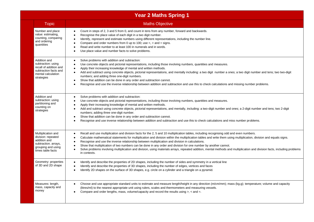|                                                                                                                             | <b>Year 2 Maths Spring 1</b>                                                                                                                                                                                                                                                                                                                                                                                                                                                                                                                                                                                                                                                                                                                               |
|-----------------------------------------------------------------------------------------------------------------------------|------------------------------------------------------------------------------------------------------------------------------------------------------------------------------------------------------------------------------------------------------------------------------------------------------------------------------------------------------------------------------------------------------------------------------------------------------------------------------------------------------------------------------------------------------------------------------------------------------------------------------------------------------------------------------------------------------------------------------------------------------------|
| Topic                                                                                                                       | <b>Maths Objective</b>                                                                                                                                                                                                                                                                                                                                                                                                                                                                                                                                                                                                                                                                                                                                     |
| Number and place<br>value: estimating,<br>counting, comparing<br>and ordering<br>quantities                                 | Count in steps of 2, 3 and 5 from 0, and count in tens from any number, forward and backwards.<br>$\bullet$<br>Recognise the place value of each digit in a two digit number.<br>$\bullet$<br>Identify, represent and estimate numbers using different representations, including the number line.<br>Compare and order numbers from 0 up to 100; use $\lt$ , $>$ and $=$ signs.<br>Read and write number to at least 100 in numerals and in words.<br>Use place value and number facts to solve problems.                                                                                                                                                                                                                                                 |
| Addition and<br>subtraction: using<br>recall of addition and<br>subtraction facts and<br>mental calculation<br>strategies   | Solve problems with addition and subtraction:<br>$\bullet$<br>Use concrete objects and pictorial representations, including those involving numbers, quantities and measures.<br>Apply their increasing knowledge of mental and written methods.<br>Add and subtract using concrete objects, pictorial representations, and mentally including: a two digit number a ones; a two digit number and tens; two two-digit<br>numbers; and adding three one-digit numbers.<br>Show that addition can be done in any order and subtraction cannot.<br>$\bullet$<br>Recognise and use the inverse relationship between addition and subtraction and use this to check calculations and missing number problems.                                                   |
| Addition and<br>subtraction: using<br>partitioning and<br>counting on<br>strategies                                         | Solve problems with addition and subtraction:<br>$\bullet$<br>Use concrete objects and pictorial representations, including those involving numbers, quantities and measures.<br>Apply their increasing knowledge of mental and written methods.<br>Add and subtract using concrete objects, pictorial representations, and mentally, including: a two-digit number and ones; a 2-digit number and tens; two 2-digit<br>numbers; adding three one-digit number.<br>Show that addition can be done in any order and subtraction cannot.<br>Recognise and use inverse relationship between addition and subtraction and use this to check calculations and miss number problems.                                                                             |
| Multiplication and<br>division: repeated<br>addition and<br>subtraction. arrays,<br>grouping and using<br>times table facts | Recall and use multiplication and division facts for the 2, 5 and 10 multiplication tables, including recognising odd and even numbers.<br>$\bullet$<br>Calculate mathematical statements for multiplication and division within the multiplication tables and write them using multiplication, division and equals signs.<br>$\bullet$<br>Recognise and use the inverse relationship between multiplication and division in calculations.<br>Show that multiplication of two numbers can be done in any order and division for one number by another cannot.<br>Solve problems involving multiplication and division, using materials arrays, repeated addition, mental methods and multiplication and division facts, including problems<br>in contexts. |
| Geometry: properties<br>of 3D and 2D shape                                                                                  | Identify and describe the properties of 2D shapes, including the number of sides and symmetry in a vertical line<br>Identify and describe the properties of 3D shapes, including the number of edges, vertices and faces<br>Identify 2D shapes on the surface of 3D shapes, e.g. circle on a cylinder and a triangle on a pyramid.                                                                                                                                                                                                                                                                                                                                                                                                                         |
| Measures: length,<br>mass, capacity and<br>money                                                                            | Choose and use appropriate standard units to estimate and measure length/height in any direction (m/cm/mm); mass (kg.g); temperature; volume and capacity<br>$\bullet$<br>(litres/ml) to the nearest appropriate unit using rulers, scales and thermometers and measuring vessels.<br>Compare and order lengths, mass, volume/capacity and record the results using >, < and =.<br>$\bullet$                                                                                                                                                                                                                                                                                                                                                               |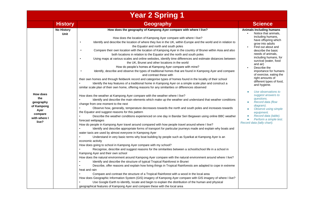|                                                                                        |                           | <b>Year 2 Spring 1</b>                                                                                                                                                                                                                                                                                                                                                                                                                                                                                                                                                                                                                                                                                                                                                                                                                                                                                                                                                                                                                                                                                                                                                                                                                                                                                                                                                                                                                                                                                                                                                                                                                                                                                                                                                                                                                                                                                                                                                                                                                                                                                                                                                                                                                                                                                                                                                                                                                                                                                                                                                                                                                                                                                                                                                                                                                                                                                                                                                                                                                                                                                              |                                                                                                                                                                                                                                                                                                                                                                                                                                                                                                                                                                                                                |
|----------------------------------------------------------------------------------------|---------------------------|---------------------------------------------------------------------------------------------------------------------------------------------------------------------------------------------------------------------------------------------------------------------------------------------------------------------------------------------------------------------------------------------------------------------------------------------------------------------------------------------------------------------------------------------------------------------------------------------------------------------------------------------------------------------------------------------------------------------------------------------------------------------------------------------------------------------------------------------------------------------------------------------------------------------------------------------------------------------------------------------------------------------------------------------------------------------------------------------------------------------------------------------------------------------------------------------------------------------------------------------------------------------------------------------------------------------------------------------------------------------------------------------------------------------------------------------------------------------------------------------------------------------------------------------------------------------------------------------------------------------------------------------------------------------------------------------------------------------------------------------------------------------------------------------------------------------------------------------------------------------------------------------------------------------------------------------------------------------------------------------------------------------------------------------------------------------------------------------------------------------------------------------------------------------------------------------------------------------------------------------------------------------------------------------------------------------------------------------------------------------------------------------------------------------------------------------------------------------------------------------------------------------------------------------------------------------------------------------------------------------------------------------------------------------------------------------------------------------------------------------------------------------------------------------------------------------------------------------------------------------------------------------------------------------------------------------------------------------------------------------------------------------------------------------------------------------------------------------------------------------|----------------------------------------------------------------------------------------------------------------------------------------------------------------------------------------------------------------------------------------------------------------------------------------------------------------------------------------------------------------------------------------------------------------------------------------------------------------------------------------------------------------------------------------------------------------------------------------------------------------|
|                                                                                        | <b>History</b>            | <b>Geography</b>                                                                                                                                                                                                                                                                                                                                                                                                                                                                                                                                                                                                                                                                                                                                                                                                                                                                                                                                                                                                                                                                                                                                                                                                                                                                                                                                                                                                                                                                                                                                                                                                                                                                                                                                                                                                                                                                                                                                                                                                                                                                                                                                                                                                                                                                                                                                                                                                                                                                                                                                                                                                                                                                                                                                                                                                                                                                                                                                                                                                                                                                                                    | <b>Science</b>                                                                                                                                                                                                                                                                                                                                                                                                                                                                                                                                                                                                 |
| How does<br>the<br>geography<br>of Kampong<br>Ayer<br>compare<br>with where I<br>live? | <b>No History</b><br>Unit | How does the geography of Kampong Ayer compare with where I live?<br>How does the location of Kampong Ayer compare with where I live?<br>Identify and describe the location of where they live in the UK, within Europe and the world and in relation to<br>the Equator and north and south poles<br>Compare their own location with the location of Kampong Ayer in the country of Brunei within Asia and also<br>$\bullet$<br>both locations in relation to the Equator and the north and south poles<br>Using maps at various scales and online websites, identify time differences and estimate distances between<br>the UK, Brunei and other locations in the world<br>How do people's homes at Kampong Ayer compare with mine?<br>Identify, describe and observe the types of traditional homes that are found in Kampong Ayer and compare<br>and contrast these with<br>their own homes and through fieldwork record and categorise types of homes found in the locality of their school<br>Identify the key features of a traditional home in Kampong Ayer on a simple scale plan and construct a<br>similar scale plan of their own home, offering reasons for any similarities or differences observed<br>How does the weather at Kampong Ayer compare with the weather where I live?<br>Identify and describe the main elements which make up the weather and understand that weather conditions<br>change from one moment to the next<br>Observe how, generally, temperature decreases towards the north and south poles and increases towards<br>the Equator and suggest reasons for this pattern<br>Describe the weather conditions experienced on one day in Bandar Seri Begawan using online BBC weather<br>forecast webpages<br>How do people in Kampong Ayer travel around compared with how people travel around where I live?<br>Identify and describe appropriate forms of transport for particular journeys made and explain why boats and<br>water taxis are used by almost everyone in Kampong Ayer<br>Understand in very basic terms why boat building by people such as Syarikat at Kampong Ayer is an<br>economic activity<br>How does going to school in Kampong Ayer compare with my school?<br>Recognise, describe and suggest reasons for the similarities between a school/school life in a school in<br>Kampong Ayer and their own school<br>How does the natural environment around Kampong Ayer compare with the natural environment around where I live?<br>Identify and describe the structure of typical Tropical Rainforest in Brunei<br>Describe, offer reasons and explain how living things in Tropical Rainforests are adapted to cope in extreme<br>heat and rain<br>Compare and contrast the structure of a Tropical Rainforest with a wood in the local area<br>How does Geographic Information System (GIS) imagery of Kampong Ayer compare with GIS imagery of where I live?<br>Use Google Earth to identify, locate and begin to explain the distribution of the human and physical<br>geographical features of Kampong Ayer and compare these with the local area | <b>Animals Including humans</b><br>Notice that animals,<br>including humans,<br>have offspring which<br>grow into adults<br>Find out about and<br>describe the basic<br>needs of animals,<br>including humans, for<br>survival (water, food<br>and air)<br>Describe the<br>importance for humans<br>of exercise, eating the<br>right amounts of<br>different types of food,<br>and hygiene.<br>Use observations to<br>suggest answers to<br>questions.<br>Record data (flow<br>diagram).<br>Observe using simple<br>equipment.<br>Record data (table).<br>Perform a simple test.<br>Record data (tally chart). |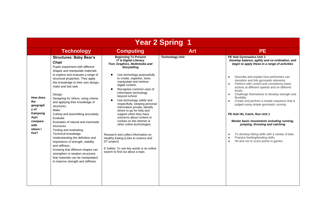|                                                                                               | <b>Year 2 Spring</b>                                                                                                                                                                                                                                                                                                                                                                                                                                                                                                                                                                                                                                                                                                                                                                  |                                                                                                                                                                                                                                                                                                                                                                                                                                                                                                                                                                                                                                                                                                                                                          |                        |                                                                                                                                                                                                                                                                                                                                                                                                                                                                                                                                                                                                                                                                                                                                                                   |  |  |
|-----------------------------------------------------------------------------------------------|---------------------------------------------------------------------------------------------------------------------------------------------------------------------------------------------------------------------------------------------------------------------------------------------------------------------------------------------------------------------------------------------------------------------------------------------------------------------------------------------------------------------------------------------------------------------------------------------------------------------------------------------------------------------------------------------------------------------------------------------------------------------------------------|----------------------------------------------------------------------------------------------------------------------------------------------------------------------------------------------------------------------------------------------------------------------------------------------------------------------------------------------------------------------------------------------------------------------------------------------------------------------------------------------------------------------------------------------------------------------------------------------------------------------------------------------------------------------------------------------------------------------------------------------------------|------------------------|-------------------------------------------------------------------------------------------------------------------------------------------------------------------------------------------------------------------------------------------------------------------------------------------------------------------------------------------------------------------------------------------------------------------------------------------------------------------------------------------------------------------------------------------------------------------------------------------------------------------------------------------------------------------------------------------------------------------------------------------------------------------|--|--|
|                                                                                               | <b>Technology</b>                                                                                                                                                                                                                                                                                                                                                                                                                                                                                                                                                                                                                                                                                                                                                                     | <b>Computing</b>                                                                                                                                                                                                                                                                                                                                                                                                                                                                                                                                                                                                                                                                                                                                         | <b>Art</b>             | <b>PE</b>                                                                                                                                                                                                                                                                                                                                                                                                                                                                                                                                                                                                                                                                                                                                                         |  |  |
| How does<br>the<br>geograph<br>y of<br>Kampong<br>Ayer<br>compare<br>with<br>where I<br>live? | <b>Structures: Baby Bear's</b><br><b>Chair</b><br>Pupils experiment with different<br>shapes and manipulate materials<br>to explore and evaluate a range of<br>structural properties. They apply<br>this knowledge to their own design,<br>make and test task.<br>Design<br>Designing for others, using criteria<br>and applying their knowledge of<br>structures.<br>Make<br>Cutting and assembling accurately.<br>Evaluate<br>Examples of natural and manmade<br>structures.<br>Testing and evaluating.<br><b>Technical knowledge</b><br>Understanding the definition and<br>importance of strength, stability<br>and stiffness.<br>Knowing that different shapes can<br>strengthen or weaken structures<br>that materials can be manipulated<br>to improve strength and stiffness. | <b>Beginning To Present</b><br><b>IT &amp; Digital Literacy</b><br>Text, Graphics, Multimedia and<br><b>Storytelling</b><br>Use technology purposefully<br>to create, organise, store,<br>manipulate and retrieve<br>digital content.<br>Recognise common uses of<br>$\bullet$<br>information technology<br>beyond school.<br>Use technology safely and<br>respectfully, keeping personal<br>information private; identify<br>where to go for help and<br>support when they have<br>concerns about content or<br>contact on the internet or<br>other online technologies.<br>Research and collect information on<br>Healthy Eating (Links to science and<br>DT project).<br>E Safety: To use key words in an online<br>search to find out about a topic. | <b>Technology Unit</b> | PE Hub Gymnastics Unit 1<br>Develop balance, agility and co-ordination, and<br>begin to apply these in a range of activities<br>Describe and explain how performers can<br>$\bullet$<br>transition and link gymnastic elements.<br>Perform with control and consistency basic<br>actions at different speeds and on different<br>levels.<br>Challenge themselves to develop strength and<br>flexibility.<br>Create and perform a simple sequence that is<br>judged using simple gymnastic scoring.<br>PE Hub Hit, Catch, Run Unit 1<br>Master basic movements including running,<br>jumping, throwing and catching<br>To develop hitting skills with a variety of bats.<br>Practice feeding/bowling skills.<br>Hit and run to score points in games.<br>$\bullet$ |  |  |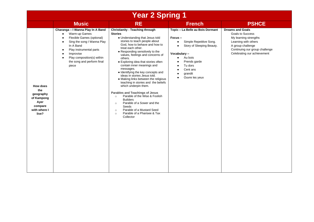| <b>Year 2 Spring 1</b>                                                                 |                                                                                                                                                                                                                                                                   |                                                                                                                                                                                                                                                                                                                                                                                                                                                                                                                                                                                                                                                                                                                                                                                        |                                                                                                                                                                                                                                                                                |                                                                                                                                                                                    |  |
|----------------------------------------------------------------------------------------|-------------------------------------------------------------------------------------------------------------------------------------------------------------------------------------------------------------------------------------------------------------------|----------------------------------------------------------------------------------------------------------------------------------------------------------------------------------------------------------------------------------------------------------------------------------------------------------------------------------------------------------------------------------------------------------------------------------------------------------------------------------------------------------------------------------------------------------------------------------------------------------------------------------------------------------------------------------------------------------------------------------------------------------------------------------------|--------------------------------------------------------------------------------------------------------------------------------------------------------------------------------------------------------------------------------------------------------------------------------|------------------------------------------------------------------------------------------------------------------------------------------------------------------------------------|--|
|                                                                                        | <b>Music</b>                                                                                                                                                                                                                                                      | <b>RE</b>                                                                                                                                                                                                                                                                                                                                                                                                                                                                                                                                                                                                                                                                                                                                                                              | <b>French</b>                                                                                                                                                                                                                                                                  | <b>PSHCE</b>                                                                                                                                                                       |  |
| How does<br>the<br>geography<br>of Kampong<br>Ayer<br>compare<br>with where I<br>live? | Charanga - I Wanna Play In A Band<br>Warm-up Games<br>$\bullet$<br>Flexible Games (optional)<br>Sing the song I Wanna Play<br>In A Band<br>Play instrumental parts<br>$\bullet$<br>Improvise<br>Play composition(s) within<br>the song and perform final<br>piece | <b>Christianity - Teaching through</b><br><b>Stories</b><br>• Understanding that Jesus told<br>stories to teach people about<br>God, how to behave and how to<br>treat each other.<br>• Responding sensitively to the<br>values, feelings and concerns of<br>others.<br>• Exploring idea that stories often<br>contain inner meanings and<br>messages.<br>· Identifying the key concepts and<br>ideas in stories Jesus told.<br>• Making links between the religious<br>teaching in stories and the beliefs<br>which underpin them.<br>Parables and Teachings of Jesus<br>Parable of the Wise & Foolish<br>$\circ$<br><b>Builders</b><br>Parable of a Sower and the<br>$\circ$<br>Seeds<br>Parable of a Mustard Seed<br>$\circ$<br>Parable of a Pharisee & Tax<br>$\circ$<br>Collector | Topic - La Belle au Bois Dormant<br>Focus-<br>Simple Repetitive Song.<br>$\bullet$<br>Story of Sleeping Beauty.<br>$\bullet$<br>Vocabulary-<br>Au bois<br>$\bullet$<br>Prends garde<br>$\bullet$<br>Tu dors<br>$\bullet$<br>Cent ans<br>grandit<br>Ouvre les yeux<br>$\bullet$ | <b>Dreams and Goals</b><br>Goals to Success<br>My learning strengths<br>Learning with others<br>A group challenge<br>Continuing our group challenge<br>Celebrating our achievement |  |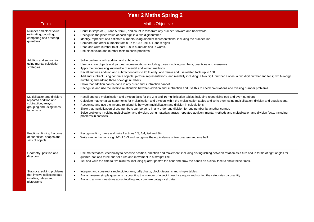|                                                                                                                          | <b>Year 2 Maths Spring 2</b>                                                                                                                                                                                                                                                                                                                                                                                                                                                                                                                                                                                                                                                                                                                                                                             |  |  |  |  |
|--------------------------------------------------------------------------------------------------------------------------|----------------------------------------------------------------------------------------------------------------------------------------------------------------------------------------------------------------------------------------------------------------------------------------------------------------------------------------------------------------------------------------------------------------------------------------------------------------------------------------------------------------------------------------------------------------------------------------------------------------------------------------------------------------------------------------------------------------------------------------------------------------------------------------------------------|--|--|--|--|
| <b>Topic</b>                                                                                                             | <b>Maths Objective</b>                                                                                                                                                                                                                                                                                                                                                                                                                                                                                                                                                                                                                                                                                                                                                                                   |  |  |  |  |
| Number and place value:<br>estimating, counting,<br>comparing and ordering<br>quantities                                 | Count in steps of 2, 3 and 5 from 0, and count in tens from any number, forward and backwards.<br>$\bullet$<br>Recognise the place value of each digit in a two digit number.<br>Identify, represent and estimate numbers using different representations, including the number line.<br>Compare and order numbers from 0 up to 100; use $\lt$ , $>$ and $=$ signs.<br>Read and write number to at least 100 in numerals and in words.<br>Use place value and number facts to solve problems.                                                                                                                                                                                                                                                                                                            |  |  |  |  |
| Addition and subtraction:<br>using mental calculation<br>strategies                                                      | Solve problems with addition and subtraction:<br>$\bullet$<br>Use concrete objects and pictorial representations, including those involving numbers, quantities and measures.<br>Apply their increasing knowledge of mental and written methods.<br>Recall and use addition and subtraction facts to 20 fluently, and derive and use related facts up to 100.<br>Add and subtract using concrete objects, pictorial representations, and mentally including: a two digit number a ones; a two digit number and tens; two two-digit<br>numbers; and adding three one-digit numbers.<br>Show that addition can be done in any order and subtraction cannot.<br>Recognise and use the inverse relationship between addition and subtraction and use this to check calculations and missing number problems. |  |  |  |  |
| Multiplication and division:<br>repeated addition and<br>subtraction, arrays,<br>grouping and using times<br>table facts | Recall and use multiplication and division facts for the 2, 5 and 10 multiplication tables, including recognising odd and even numbers.<br>$\bullet$<br>Calculate mathematical statements for multiplication and division within the multiplication tables and write them using multiplication, division and equals signs.<br>$\bullet$<br>Recognise and use the inverse relationship between multiplication and division in calculations.<br>Show that multiplication of two numbers can be done in any order and division for one number by another cannot.<br>Solve problems involving multiplication and division, using materials arrays, repeated addition, mental methods and multiplication and division facts, including<br>problems in contexts.                                               |  |  |  |  |
| Fractions: finding fractions<br>of quantities, shapes and<br>sets of objects                                             | Recognise find, name and write fractions 1/3, 1/4, 2/4 and 3/4.<br>Write simple fractions e.g. 1/2 of 6=3 and recognise the equivalence of two quarters and one half.                                                                                                                                                                                                                                                                                                                                                                                                                                                                                                                                                                                                                                    |  |  |  |  |
| Geometry: position and<br>direction                                                                                      | Use mathematical vocabulary to describe position, direction and movement, including distinguishing between rotation as a turn and in terms of right angles for<br>quarter, half and three quarter turns and movement in a straight line.<br>Tell and write the time to five minutes, including quarter past/to the hour and draw the hands on a clock face to show these times.                                                                                                                                                                                                                                                                                                                                                                                                                          |  |  |  |  |
| Statistics: solving problems<br>that involve collecting data<br>in tallies, tables and<br>pictograms                     | Interpret and construct simple pictograms, tally charts, block diagrams and simple tables.<br>$\bullet$<br>Ask an answer simple questions by counting the number of object in each category and sorting the categories by quantity.<br>Ask and answer questions about totalling and compare categorical data.                                                                                                                                                                                                                                                                                                                                                                                                                                                                                            |  |  |  |  |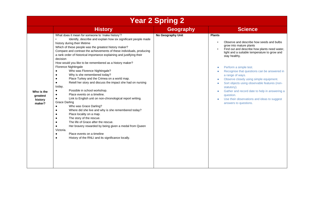| <b>Year 2 Spring 2</b>                      |                                                                                                                                                                                                                                                                                                                                                                                                                                                                                                                                                                                                                                                                                                                                                                                                                                                                                                                                                                                                                                                                                                                                                                                                                                   |                   |                                                                                                                                                                                                                                                                                                                                                                                                                                                                                                                                                    |  |  |  |
|---------------------------------------------|-----------------------------------------------------------------------------------------------------------------------------------------------------------------------------------------------------------------------------------------------------------------------------------------------------------------------------------------------------------------------------------------------------------------------------------------------------------------------------------------------------------------------------------------------------------------------------------------------------------------------------------------------------------------------------------------------------------------------------------------------------------------------------------------------------------------------------------------------------------------------------------------------------------------------------------------------------------------------------------------------------------------------------------------------------------------------------------------------------------------------------------------------------------------------------------------------------------------------------------|-------------------|----------------------------------------------------------------------------------------------------------------------------------------------------------------------------------------------------------------------------------------------------------------------------------------------------------------------------------------------------------------------------------------------------------------------------------------------------------------------------------------------------------------------------------------------------|--|--|--|
|                                             | <b>History</b>                                                                                                                                                                                                                                                                                                                                                                                                                                                                                                                                                                                                                                                                                                                                                                                                                                                                                                                                                                                                                                                                                                                                                                                                                    | <b>Geography</b>  | <b>Science</b>                                                                                                                                                                                                                                                                                                                                                                                                                                                                                                                                     |  |  |  |
| Who is the<br>greatest<br>history<br>maker? | What does it mean for someone to 'make history'?<br>Identify, describe and explain how six significant people made<br>history during their lifetime<br>Which of these people was the greatest history maker?<br>Compare and contrast the achievements of these individuals, producing<br>a rank order of historical importance explaining and justifying their<br>decision<br>How would you like to be remembered as a history maker?<br>Florence Nightingale<br>Who was Florence Nightingale?<br>$\bullet$<br>Why is she remembered today?<br>Place Turkey and the Crimea on a world map.<br>Retell her story and discuss the impact she had on nursing<br>today.<br>Possible in school workshop.<br>Place events on a timeline.<br>Link to English unit on non-chronological report writing.<br><b>Grace Darling</b><br>Who was Grace Darling?<br>Where did she live and why is she remembered today?<br>$\bullet$<br>Place locality on a map.<br>$\bullet$<br>The story of the rescue.<br>$\bullet$<br>The life of Grace after the rescue.<br>$\bullet$<br>Her bravery rewarded by being given a medal from Queen<br>Victoria.<br>Place events on a timeline<br>History of the RNLI and its significance locally.<br>$\bullet$ | No Geography Unit | <b>Plants</b><br>Observe and describe how seeds and bulbs<br>grow into mature plants<br>Find out and describe how plants need water,<br>light and a suitable temperature to grow and<br>stay healthy.<br>Perform a simple test.<br>Recognise that questions can be answered in<br>a range of ways.<br>Observe closely using simple equipment.<br>Sort objects using observable features (non-<br>statutory).<br>Gather and record date to help in answering a<br>question.<br>Use their observations and ideas to suggest<br>answers to questions. |  |  |  |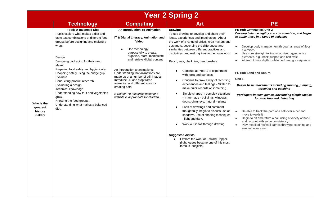## **Year 2 Spring 2**

|                                             | <b>Technology</b><br><b>Food: A Balanced Diet</b><br>Pupils explore what makes a diet and                                                                                                                                                                                                                                                                                                                                                                                 | An Introduction To Animation                                                                                                                                                                                                                                                                                                                                                                                                                            | <b>Drawing</b>                                                                                                                                                                                                                                                                                                                                                                                                                                                                                                                                                                                                                                                                                                                                                                                                                                                                                                                             | PE Hub Gymnastics Unit 2                                                                                                                                                                                                                                                                                                                                                                                                                                                                                                                                                                                                                                                                                                                                                                                                                                                            |
|---------------------------------------------|---------------------------------------------------------------------------------------------------------------------------------------------------------------------------------------------------------------------------------------------------------------------------------------------------------------------------------------------------------------------------------------------------------------------------------------------------------------------------|---------------------------------------------------------------------------------------------------------------------------------------------------------------------------------------------------------------------------------------------------------------------------------------------------------------------------------------------------------------------------------------------------------------------------------------------------------|--------------------------------------------------------------------------------------------------------------------------------------------------------------------------------------------------------------------------------------------------------------------------------------------------------------------------------------------------------------------------------------------------------------------------------------------------------------------------------------------------------------------------------------------------------------------------------------------------------------------------------------------------------------------------------------------------------------------------------------------------------------------------------------------------------------------------------------------------------------------------------------------------------------------------------------------|-------------------------------------------------------------------------------------------------------------------------------------------------------------------------------------------------------------------------------------------------------------------------------------------------------------------------------------------------------------------------------------------------------------------------------------------------------------------------------------------------------------------------------------------------------------------------------------------------------------------------------------------------------------------------------------------------------------------------------------------------------------------------------------------------------------------------------------------------------------------------------------|
| Who is the<br>greatest<br>history<br>maker? | taste test combinations of different food<br>groups before designing and making a<br>wrap.<br>Design<br>Designing packaging for their wrap.<br>Make<br>Preparing food safely and hygienically.<br>Chopping safely using the bridge grip.<br>Evaluate<br>Conducting product research.<br>Evaluating a design.<br><b>Technical knowledge</b><br>Understanding how fruit and vegetables<br>grow.<br>Knowing the food groups.<br>Understanding what makes a balanced<br>diet. | IT & Digital Literacy, Animation and<br>Video<br>Use technology<br>$\bullet$<br>purposefully to create,<br>organise, store, manipulate<br>and retrieve digital content<br>An introduction to animations.<br>Understanding that animations are<br>made up of a number of still images.<br>Introduce 2D and stop frame<br>animation and different tools for<br>creating both.<br>E Safety: To recognise whether a<br>website is appropriate for children. | To use drawing to develop and share their<br>ideas, experiences and imagination. About<br>the work of a range of artists, craft makers and<br>designers, describing the differences and<br>similarities between different practices and<br>disciplines, and making links to their own work.<br>Pencil, wax, chalk, ink, pen, brushes<br>Continue as Year 1 to experiment<br>with tools and surfaces.<br>Continue to draw a way of recording<br>experiences and feelings - Sketch to<br>make quick records of something.<br>Simple shapes in complex situations<br>- man-made - buildings, windows,<br>doors, chimneys; natural - plants<br>Look at drawings and comment<br>thoughtfully, begin to discuss use of<br>shadows, use of shading techniques<br>- light and dark.<br>Work out ideas through drawing<br><b>Suggested Artists:</b><br>Explore the work of Edward Hopper<br>(lighthouses became one of his most<br>famous subjects) | Develop balance, agility and co-ordination, and begin<br>to apply these in a range of activities<br>Develop body management through a range of floor<br>$\bullet$<br>exercises.<br>Use core strength to link recognised. gymnastics<br>$\bullet$<br>elements, e.g., back support and half twist.<br>Attempt to use rhythm while performing a sequence.<br>$\bullet$<br><b>PE Hub Send and Return</b><br>Unit 1<br>Master basic movements including running, jumping,<br>throwing and catching<br>Participate in team games, developing simple tactics<br>for attacking and defending<br>Be able to track the path of a ball over a net and<br>$\bullet$<br>move towards it.<br>Begin to hit and return a ball using a variety of hand<br>$\bullet$<br>and racquet with some consistency.<br>Play modified net/wall games throwing, catching and<br>$\bullet$<br>sending over a net. |
|                                             |                                                                                                                                                                                                                                                                                                                                                                                                                                                                           |                                                                                                                                                                                                                                                                                                                                                                                                                                                         |                                                                                                                                                                                                                                                                                                                                                                                                                                                                                                                                                                                                                                                                                                                                                                                                                                                                                                                                            |                                                                                                                                                                                                                                                                                                                                                                                                                                                                                                                                                                                                                                                                                                                                                                                                                                                                                     |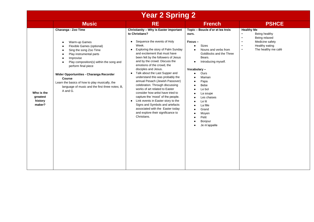| <b>Year 2 Spring 2</b>                      |                                                                                                                                                                                                                                                                                                                                                                                                                                 |                                                                                                                                                                                                                                                                                                                                                                                                                                                                                                                                                                                                                                                                                                                                                                                    |                                                                                                                                                                                                                                                                                                                                                                                                                |                                                                                                                                                                     |  |
|---------------------------------------------|---------------------------------------------------------------------------------------------------------------------------------------------------------------------------------------------------------------------------------------------------------------------------------------------------------------------------------------------------------------------------------------------------------------------------------|------------------------------------------------------------------------------------------------------------------------------------------------------------------------------------------------------------------------------------------------------------------------------------------------------------------------------------------------------------------------------------------------------------------------------------------------------------------------------------------------------------------------------------------------------------------------------------------------------------------------------------------------------------------------------------------------------------------------------------------------------------------------------------|----------------------------------------------------------------------------------------------------------------------------------------------------------------------------------------------------------------------------------------------------------------------------------------------------------------------------------------------------------------------------------------------------------------|---------------------------------------------------------------------------------------------------------------------------------------------------------------------|--|
|                                             | <b>Music</b>                                                                                                                                                                                                                                                                                                                                                                                                                    | <b>RE</b>                                                                                                                                                                                                                                                                                                                                                                                                                                                                                                                                                                                                                                                                                                                                                                          | <b>French</b>                                                                                                                                                                                                                                                                                                                                                                                                  | <b>PSHCE</b>                                                                                                                                                        |  |
| Who is the<br>greatest<br>history<br>maker? | Charanga - Zoo Time<br>Warm-up Games<br>Flexible Games (optional)<br>Sing the song Zoo Time<br>$\bullet$<br>Play instrumental parts<br>$\bullet$<br>Improvise<br>$\bullet$<br>Play composition(s) within the song and<br>$\bullet$<br>perform final piece<br>Wider Opportunities - Charanga Recorder<br>Course<br>Learn the basics of how to play musically, the<br>language of music and the first three notes; B,<br>A and G. | Christianity - Why is Easter important<br>to Christians?<br>Sequence the events of Holy<br>$\bullet$<br>Week.<br>Exploring the story of Palm Sunday<br>$\bullet$<br>and excitement that must have<br>been felt by the followers of Jesus<br>and by the crowd. Discuss the<br>emotions of the crowd, the<br>disciples and Jesus.<br>Talk about the Last Supper and<br>$\bullet$<br>understand this was probably the<br>annual Pesach (Jewish Passover)<br>celebration. Through discussing<br>works of art related to Easter<br>consider how artist have tried to<br>capture the 'mood' of the people.<br>Link events in Easter story to the<br>$\bullet$<br>Signs and Symbols and artefacts<br>associated with the Easter today<br>and explore their significance to<br>Christians. | Topic - Boucle d'or et les trois<br>ours.<br>Focus-<br><b>Sizes</b><br>Nouns and verbs from<br>$\bullet$<br>Goldilocks and the Three<br>Bears.<br>Introducing myself.<br>$\bullet$<br>Vocabulary-<br>Ours<br>$\bullet$<br>Maman<br>Papa<br>$\bullet$<br><b>Bebe</b><br>Le bol<br>La soupe<br>Les chaises<br>Le lit<br>$\bullet$<br>La fille<br>Grand<br>$\bullet$<br>Moven<br>Petit<br>Bonjour<br>Je m'appelle | <b>Healthy Me</b><br>Being healthy<br>Being relaxed<br>$\bullet$<br>Medicine safety<br>$\bullet$<br>Healthy eating<br>$\bullet$<br>The healthy me café<br>$\bullet$ |  |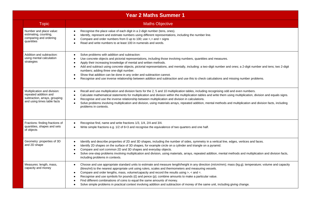| <b>Year 2 Maths Summer 1</b>                                                                                          |                                                                                                                                                                                                                                                                                                                                                                                                                                                                                                                                                                                                                                                                                                                                                              |  |  |  |
|-----------------------------------------------------------------------------------------------------------------------|--------------------------------------------------------------------------------------------------------------------------------------------------------------------------------------------------------------------------------------------------------------------------------------------------------------------------------------------------------------------------------------------------------------------------------------------------------------------------------------------------------------------------------------------------------------------------------------------------------------------------------------------------------------------------------------------------------------------------------------------------------------|--|--|--|
| <b>Topic</b>                                                                                                          | <b>Maths Objective</b>                                                                                                                                                                                                                                                                                                                                                                                                                                                                                                                                                                                                                                                                                                                                       |  |  |  |
| Number and place value:<br>estimating, counting,<br>comparing and ordering<br>quantities                              | Recognise the place value of each digit in a 2-digit number (tens, ones).<br>$\bullet$<br>Identify, represent and estimate numbers using different representations, including the number line.<br>Compare and order numbers from 0 up to 100; use $\lt$ , $>$ and = signs<br>Read and write numbers to at least 100 in numerals and words.                                                                                                                                                                                                                                                                                                                                                                                                                   |  |  |  |
| Addition and subtraction:<br>using mental calculation<br>strategies                                                   | Solve problems with addition and subtraction:<br>$\bullet$<br>Use concrete objects and pictorial representations, including those involving numbers, quantities and measures.<br>Apply their increasing knowledge of mental and written methods.<br>$\bullet$<br>Add and subtract using concrete objects, pictorial representations, and mentally, including: a two-digit number and ones; a 2-digit number and tens; two 2-digit<br>$\bullet$<br>numbers; adding three one-digit number.<br>Show that addition can be done in any order and subtraction cannot.<br>$\bullet$<br>Recognise and use inverse relationship between addition and subtraction and use this to check calculations and missing number problems.                                     |  |  |  |
| Multiplication and division:<br>repeated addition and<br>subtraction, arrays, grouping<br>and using times table facts | Recall and use multiplication and division facts for the 2, 5 and 10 multiplication tables, including recognising odd and even numbers.<br>$\bullet$<br>Calculate mathematical statements for multiplication and division within the multiplication tables and write them using multiplication, division and equals signs.<br>$\bullet$<br>Recognise and use the inverse relationship between multiplication and division in calculations.<br>٠<br>Solve problems involving multiplication and division, using materials arrays, repeated addition, mental methods and multiplication and division facts, including<br>$\bullet$<br>problems in contexts.                                                                                                    |  |  |  |
| Fractions: finding fractions of<br>quantities, shapes and sets<br>of objects                                          | Recognise find, name and write fractions 1/3, 1/4, 2/4 and 3/4.<br>$\bullet$<br>Write simple fractions e.g. $1/2$ of 6=3 and recognise the equivalence of two quarters and one half.<br>$\bullet$                                                                                                                                                                                                                                                                                                                                                                                                                                                                                                                                                            |  |  |  |
| Geometry: properties of 3D<br>and 2D shape                                                                            | Identify and describe properties of 2D and 3D shapes, including the number of sides, symmetry in a vertical line, edges, vertices and faces.<br>$\bullet$<br>Identify 2D shapes on the surface of 3D shapes, for example circle on a cylinder and triangle on a pyramid.<br>Compare and sort common 2D and 3D shapes and everyday objects.<br>$\bullet$<br>Solve one-step problems involving multiplication and division, using materials, arrays, repeated addition, mental methods and multiplication and division facts,<br>٠<br>including problems in contexts.                                                                                                                                                                                          |  |  |  |
| Measures: length, mass,<br>capacity and money                                                                         | Choose and use appropriate standard units to estimate and measure length/height in any direction (m/cm/mm); mass (kg.g); temperature; volume and capacity<br>$\bullet$<br>(litres/ml) to the nearest appropriate unit using rulers, scales and thermometers and measuring vessels.<br>Compare and order lengths, mass, volume/capacity and record the results using $\ge$ , $\lt$ and $\equiv$ .<br>$\bullet$<br>Recognise and use symbols for pounds $(E)$ and pence $(p)$ ; combine amounts to make a particular value.<br>$\bullet$<br>Find different combinations of coins to equal the same amounts of money.<br>٠<br>Solve simple problems in practical context involving addition and subtraction of money of the same unit, including giving change. |  |  |  |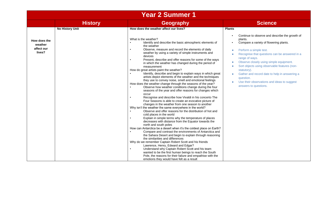|                                                 |                        | <b>Year 2 Summer 1</b>                                                                                                                                                                                                                                                                                                                                                                                                                                                                                                                                                                                                                                                                                                                                                                                                                                                                                                                                                                                                                                                                                                                                                                                                                                                                                                                                                                                                                                                                                                                                                                                                                                                                                                                                                                                                                                                                        |                                                                                                                                                                                                                                                                                                                                                                                                                                                                                 |
|-------------------------------------------------|------------------------|-----------------------------------------------------------------------------------------------------------------------------------------------------------------------------------------------------------------------------------------------------------------------------------------------------------------------------------------------------------------------------------------------------------------------------------------------------------------------------------------------------------------------------------------------------------------------------------------------------------------------------------------------------------------------------------------------------------------------------------------------------------------------------------------------------------------------------------------------------------------------------------------------------------------------------------------------------------------------------------------------------------------------------------------------------------------------------------------------------------------------------------------------------------------------------------------------------------------------------------------------------------------------------------------------------------------------------------------------------------------------------------------------------------------------------------------------------------------------------------------------------------------------------------------------------------------------------------------------------------------------------------------------------------------------------------------------------------------------------------------------------------------------------------------------------------------------------------------------------------------------------------------------|---------------------------------------------------------------------------------------------------------------------------------------------------------------------------------------------------------------------------------------------------------------------------------------------------------------------------------------------------------------------------------------------------------------------------------------------------------------------------------|
|                                                 | <b>History</b>         | Geography                                                                                                                                                                                                                                                                                                                                                                                                                                                                                                                                                                                                                                                                                                                                                                                                                                                                                                                                                                                                                                                                                                                                                                                                                                                                                                                                                                                                                                                                                                                                                                                                                                                                                                                                                                                                                                                                                     | <b>Science</b>                                                                                                                                                                                                                                                                                                                                                                                                                                                                  |
|                                                 | <b>No History Unit</b> | How does the weather affect our lives?                                                                                                                                                                                                                                                                                                                                                                                                                                                                                                                                                                                                                                                                                                                                                                                                                                                                                                                                                                                                                                                                                                                                                                                                                                                                                                                                                                                                                                                                                                                                                                                                                                                                                                                                                                                                                                                        | <b>Plants</b>                                                                                                                                                                                                                                                                                                                                                                                                                                                                   |
| How does the<br>weather<br>affect our<br>lives? |                        | What is the weather?<br>Identify and describe the basic atmospheric elements of<br>the weather<br>Observe, measure and record the elements of daily<br>$\bullet$<br>weather by using a variety of simple instruments and<br>devices<br>Present, describe and offer reasons for some of the ways<br>in which the weather has changed during the period of<br>measurement<br>How do great artists paint the weather?<br>Identify, describe and begin to explain ways in which great<br>artists depict elements of the weather and the techniques<br>they use to convey noise, smell and emotional feelings<br>How does the weather change through the seasons of the year?<br>Observe how weather conditions change during the four<br>seasons of the year and offer reasons for changes which<br>occur<br>Recognise and describe how Vivaldi in his concerto The<br>$\bullet$<br>Four Seasons is able to create an evocative picture of<br>changes in the weather from one season to another<br>Why isn't the weather the same everywhere in the world?<br>Observe and offer reasons for the distribution of hot and<br>cold places in the world<br>Explain in simple terms why the temperature of places<br>$\bullet$<br>decreases with distance from the Equator towards the<br>north and south poles<br>How can Antarctica be a desert when it's the coldest place on Earth?<br>Compare and contrast the environments of Antarctica and<br>$\bullet$<br>the Sahara Desert and begin to explain through reasoning<br>the similarities and differences<br>Why do we remember Captain Robert Scott and his friends<br>Lawrence, Henry, Edward and Edgar?<br>Understand why Captain Robert Scott and his team<br>$\bullet$<br>wanted to be the first human beings to reach the South<br>Pole, the reasons for their failure and empathise with the<br>emotions they would have felt as a result | Continue to observe and describe the growth of<br>plants.<br>Compare a variety of flowering plants.<br>Perform a simple test.<br>Recognise that questions can be answered in a<br>range of ways.<br>Observe closely using simple equipment.<br>Sort objects using observable features (non-<br>$\bullet$<br>statutory).<br>Gather and record date to help in answering a<br>$\bullet$<br>question.<br>Use their observations and ideas to suggest<br>۰<br>answers to questions. |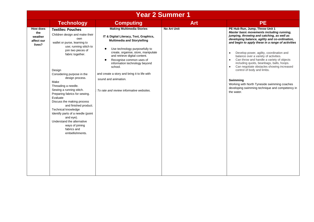| <b>Year 2 Summer 1</b>                             |                                                                                                                                                                                                                                                                                                                                                                                                                                                                                                                                                             |                                                                                                                                                                                                                                                                                                                                                                                                                                     |                    |                                                                                                                                                                                                                                                                                                                                                                                                                                                                                                                                                                                                                                      |  |
|----------------------------------------------------|-------------------------------------------------------------------------------------------------------------------------------------------------------------------------------------------------------------------------------------------------------------------------------------------------------------------------------------------------------------------------------------------------------------------------------------------------------------------------------------------------------------------------------------------------------------|-------------------------------------------------------------------------------------------------------------------------------------------------------------------------------------------------------------------------------------------------------------------------------------------------------------------------------------------------------------------------------------------------------------------------------------|--------------------|--------------------------------------------------------------------------------------------------------------------------------------------------------------------------------------------------------------------------------------------------------------------------------------------------------------------------------------------------------------------------------------------------------------------------------------------------------------------------------------------------------------------------------------------------------------------------------------------------------------------------------------|--|
|                                                    | <b>Technology</b>                                                                                                                                                                                                                                                                                                                                                                                                                                                                                                                                           | <b>Computing</b>                                                                                                                                                                                                                                                                                                                                                                                                                    | <b>Art</b>         | <b>PE</b>                                                                                                                                                                                                                                                                                                                                                                                                                                                                                                                                                                                                                            |  |
| How does<br>the<br>weather<br>affect our<br>lives? | <b>Textiles: Pouches</b><br>Children design and make their<br>own<br>wallet or purse, learning to<br>use; running stitch to<br>join two pieces of<br>fabric together.<br>Design<br>Considering purpose in the<br>design process.<br>Make<br>Threading a needle.<br>Sewing a running stitch.<br>Preparing fabrics for sewing.<br>Evaluate<br>Discuss the making process<br>and finished product.<br>Technical knowledge<br>Identify parts of a needle (point<br>and eye).<br>Understand the alternative<br>ways of joining<br>fabrics and<br>embellishments. | <b>Making Multimedia Stories</b><br>IT & Digital Literacy, Text, Graphics,<br><b>Multimedia and Storytelling</b><br>Use technology purposefully to<br>$\bullet$<br>create, organise, store, manipulate<br>and retrieve digital content.<br>Recognise common uses of<br>information technology beyond<br>school.<br>and create a story and bring it to life with<br>sound and animation.<br>To rate and review informative websites. | <b>No Art Unit</b> | PE Hub Run, Jump, Throw Unit 1<br>Master basic movements including running,<br>jumping, throwing and catching, as well as<br>developing balance, agility and co-ordination,<br>and begin to apply these in a range of activities<br>Develop power, agility, coordination and<br>$\bullet$<br>balance over a variety of activities.<br>Can throw and handle a variety of objects<br>including quoits, beanbags, balls, hoops.<br>Can negotiate obstacles showing increased<br>control of body and limbs.<br>Swimming<br>Working with North Tyneside swimming coaches<br>developing swimming technique and competency in<br>the water. |  |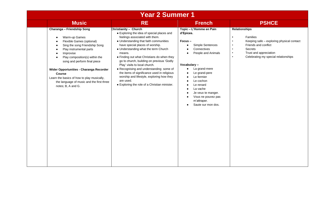| <b>Year 2 Summer 1</b> |                                                                                                                                                                                                                                                                                                                                                                                                                                                                                |                                                                                                                                                                                                                                                                                                                                                                                                                                                                                                                                                                       |                                                                                                                                                                                                                                                                                                                                                                                                          |                                                                                                                                                                                                                                        |
|------------------------|--------------------------------------------------------------------------------------------------------------------------------------------------------------------------------------------------------------------------------------------------------------------------------------------------------------------------------------------------------------------------------------------------------------------------------------------------------------------------------|-----------------------------------------------------------------------------------------------------------------------------------------------------------------------------------------------------------------------------------------------------------------------------------------------------------------------------------------------------------------------------------------------------------------------------------------------------------------------------------------------------------------------------------------------------------------------|----------------------------------------------------------------------------------------------------------------------------------------------------------------------------------------------------------------------------------------------------------------------------------------------------------------------------------------------------------------------------------------------------------|----------------------------------------------------------------------------------------------------------------------------------------------------------------------------------------------------------------------------------------|
|                        | <b>Music</b>                                                                                                                                                                                                                                                                                                                                                                                                                                                                   | <b>RE</b>                                                                                                                                                                                                                                                                                                                                                                                                                                                                                                                                                             | <b>French</b>                                                                                                                                                                                                                                                                                                                                                                                            | <b>PSHCE</b>                                                                                                                                                                                                                           |
|                        | Charanga - Friendship Song<br>Warm-up Games<br>$\bullet$<br>Flexible Games (optional)<br>$\bullet$<br>Sing the song Friendship Song<br>$\bullet$<br>Play instrumental parts<br>$\bullet$<br>Improvise<br>$\bullet$<br>Play composition(s) within the<br>$\bullet$<br>song and perform final piece<br>Wider Opportunities - Charanga Recorder<br><b>Course</b><br>Learn the basics of how to play musically,<br>the language of music and the first three<br>notes; B, A and G. | Christianity - Church<br>• Exploring the idea of special places and<br>feelings associated with them.<br>• Understanding that faith communities<br>have special places of worship.<br>• Understanding what the term Church<br>means.<br>• Finding out what Christians do when they<br>go to church, building on previous 'Godly<br>Play' visits to local church.<br>• Recognising and understanding some of<br>the items of significance used in religious<br>worship and lifestyle, exploring how they<br>are used.<br>• Exploring the role of a Christian minister. | Topic - L'Homme en Pain<br>d'Epices.<br>$Focus -$<br>Simple Sentences<br>$\bullet$<br>Connectives<br>$\bullet$<br>People and Animals<br>$\bullet$<br>Vocabulary-<br>La grand-mere<br>$\bullet$<br>Le grand-pere<br>Le fermier<br>Le cochon<br>Le renard<br>La vache<br>$\bullet$<br>Je veux te manger.<br>$\bullet$<br>Vous ne pouvez pas<br>$\bullet$<br>m'attraper.<br>Saute sur mon dos.<br>$\bullet$ | <b>Relationships</b><br>Families<br>$\bullet$<br>Keeping safe - exploring physical contact<br>Friends and conflict<br>Secrets<br>$\bullet$<br>Trust and appreciation<br>$\bullet$<br>Celebrating my special relationships<br>$\bullet$ |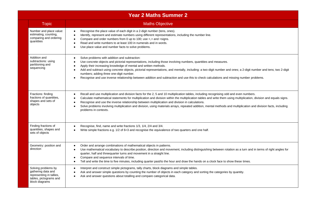|                                                                                                                   | <b>Year 2 Maths Summer 2</b>                                                                                                                                                                                                                                                                                                                                                                                                                                                                                                                                                                                                            |
|-------------------------------------------------------------------------------------------------------------------|-----------------------------------------------------------------------------------------------------------------------------------------------------------------------------------------------------------------------------------------------------------------------------------------------------------------------------------------------------------------------------------------------------------------------------------------------------------------------------------------------------------------------------------------------------------------------------------------------------------------------------------------|
| <b>Topic</b>                                                                                                      | <b>Maths Objective</b>                                                                                                                                                                                                                                                                                                                                                                                                                                                                                                                                                                                                                  |
| Number and place value:<br>estimating, counting,<br>comparing and ordering<br>quantities                          | Recognise the place value of each digit in a 2-digit number (tens, ones).<br>Identify, represent and estimate numbers using different representations, including the number line.<br>$\bullet$<br>Compare and order numbers from 0 up to 100; use $\lt$ , $>$ and $=$ signs.<br>$\bullet$<br>Read and write numbers to at least 100 in numerals and in words.<br>$\bullet$<br>Use place value and number facts to solve problems.<br><b>C</b>                                                                                                                                                                                           |
| Addition and<br>subtractions: using<br>partitioning and<br>sequencing                                             | Solve problems with addition and subtraction:<br>$\bullet$<br>Use concrete objects and pictorial representations, including those involving numbers, quantities and measures.<br>Apply their increasing knowledge of mental and written methods.<br>$\bullet$<br>Add and subtract using concrete objects, pictorial representations, and mentally, including: a two-digit number and ones; a 2-digit number and tens; two 2-digit<br>$\bullet$<br>numbers; adding three one-digit number.<br>Recognise and use inverse relationship between addition and subtraction and use this to check calculations and missing number problems.    |
| Fractions: finding<br>fractions of quantities.<br>shapes and sets of<br>objects                                   | Recall and use multiplication and division facts for the 2, 5 and 10 multiplication tables, including recognising odd and even numbers.<br>$\bullet$<br>Calculate mathematical statements for multiplication and division within the multiplication tables and write them using multiplication, division and equals signs.<br>$\bullet$<br>Recognise and use the inverse relationship between multiplication and division in calculations.<br>Solve problems involving multiplication and division, using materials arrays, repeated addition, mental methods and multiplication and division facts, including<br>problems in contexts. |
| Finding fractions of<br>quantities, shapes and<br>sets of objects                                                 | Recognise, find, name and write fractions 1/3, 1/4, 2/4 and 3/4.<br>Write simple fractions e.g. 1/2 of 6=3 and recognise the equivalence of two quarters and one half.                                                                                                                                                                                                                                                                                                                                                                                                                                                                  |
| Geometry: position and<br>direction                                                                               | Order and arrange combinations of mathematical objects in patterns.<br>Use mathematical vocabulary to describe position, direction and movement, including distinguishing between rotation as a turn and in terms of right angles for<br>$\bullet$<br>quarter, half and threequarter turns and movement in a straight line.<br>Compare and sequence intervals of time.<br>Tell and write the time to five minutes, including quarter past/to the hour and draw the hands on a clock face to show these times.<br>$\bullet$                                                                                                              |
| Solving problems by<br>gathering data and<br>representing in tallies,<br>tables, pictograms and<br>block diagrams | Interpret and construct simple pictograms, tally charts, block diagrams and simple tables.<br>Ask and answer simple questions by counting the number of objects in each category and sorting the categories by quantity.<br>Ask and answer questions about totalling and compare categorical data.<br>$\bullet$                                                                                                                                                                                                                                                                                                                         |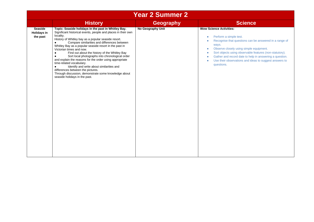|                                                  | <b>Year 2 Summer 2</b>                                                                                                                                                                                                                                                                                                                                                                                                                                                                                                                                                                                                                                                                                                                                   |                   |                                                                                                                                                                                                                                                                                                                                                                                                            |  |  |
|--------------------------------------------------|----------------------------------------------------------------------------------------------------------------------------------------------------------------------------------------------------------------------------------------------------------------------------------------------------------------------------------------------------------------------------------------------------------------------------------------------------------------------------------------------------------------------------------------------------------------------------------------------------------------------------------------------------------------------------------------------------------------------------------------------------------|-------------------|------------------------------------------------------------------------------------------------------------------------------------------------------------------------------------------------------------------------------------------------------------------------------------------------------------------------------------------------------------------------------------------------------------|--|--|
|                                                  | <b>History</b>                                                                                                                                                                                                                                                                                                                                                                                                                                                                                                                                                                                                                                                                                                                                           | <b>Geography</b>  | <b>Science</b>                                                                                                                                                                                                                                                                                                                                                                                             |  |  |
| <b>Seaside</b><br><b>Holidays in</b><br>the past | Topic: Seaside holidays in the past in Whitley Bay.<br>Significant historical events, people and places in their own<br>locality.<br>History of Whitley bay as a popular seaside resort.<br>Compare similarities and differences between<br>$\bullet$<br>Whitley Bay as a popular seaside resort in the past in<br>Victorian times and now.<br>Find out about the history of the Whitley Bay<br>$\bullet$<br>Sort local photographs into chronological order<br>$\bullet$<br>and explain the reasons for the order using appropriate<br>time-related vocabulary.<br>Identify and write about similarities and<br>$\bullet$<br>differences between the pictures.<br>Through discussion, demonstrate some knowledge about<br>seaside holidays in the past. | No Geography Unit | <b>Wow Science Activities:</b><br>Perform a simple test.<br>۰<br>Recognise that questions can be answered in a range of<br>٠<br>ways.<br>Observe closely using simple equipment.<br>۰<br>Sort objects using observable features (non-statutory).<br>۰<br>Gather and record date to help in answering a question.<br>۰<br>Use their observations and ideas to suggest answers to<br>$\bullet$<br>questions. |  |  |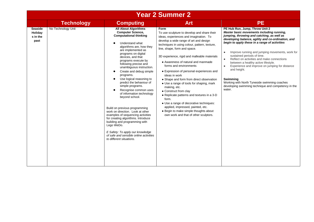|                                               | <b>Year 2 Summer 2</b> |                                                                                                                                                                                                                                                                                                                                                                                                                                                                                                                                                                                                                                                                                                                                                                                            |                                                                                                                                                                                                                                                                                                                                                                                                                                                                                                                                                                                                                                                                                                                                                                 |                                                                                                                                                                                                                                                                                                                                                                                                                                                                                                                                                                                                                                             |  |  |
|-----------------------------------------------|------------------------|--------------------------------------------------------------------------------------------------------------------------------------------------------------------------------------------------------------------------------------------------------------------------------------------------------------------------------------------------------------------------------------------------------------------------------------------------------------------------------------------------------------------------------------------------------------------------------------------------------------------------------------------------------------------------------------------------------------------------------------------------------------------------------------------|-----------------------------------------------------------------------------------------------------------------------------------------------------------------------------------------------------------------------------------------------------------------------------------------------------------------------------------------------------------------------------------------------------------------------------------------------------------------------------------------------------------------------------------------------------------------------------------------------------------------------------------------------------------------------------------------------------------------------------------------------------------------|---------------------------------------------------------------------------------------------------------------------------------------------------------------------------------------------------------------------------------------------------------------------------------------------------------------------------------------------------------------------------------------------------------------------------------------------------------------------------------------------------------------------------------------------------------------------------------------------------------------------------------------------|--|--|
|                                               | <b>Technology</b>      | <b>Computing</b>                                                                                                                                                                                                                                                                                                                                                                                                                                                                                                                                                                                                                                                                                                                                                                           | <b>Art</b>                                                                                                                                                                                                                                                                                                                                                                                                                                                                                                                                                                                                                                                                                                                                                      | <b>PE</b>                                                                                                                                                                                                                                                                                                                                                                                                                                                                                                                                                                                                                                   |  |  |
| <b>Seaside</b><br>Holiday<br>s in the<br>past | No Technology Unit     | <b>All About Algorithms</b><br><b>Computer Science,</b><br><b>Computational thinking</b><br>Understand what<br>algorithms are, how they<br>are implemented as<br>programs on digital<br>devices, and that<br>programs execute by<br>following precise and<br>unambiguous instruction.<br>Create and debug simple<br>programs.<br>Use logical reasoning to<br>predict the behaviour of<br>simple programs.<br>Recognise common uses<br>of information technology<br>beyond school.<br>Build on previous programming<br>work on direction. Look at other<br>examples of sequencing activities<br>for creating algorithms. Introduce<br>building and programming with<br>Lego WeDo.<br>E Safety: To apply our knowledge<br>of safe and sensible online activities<br>to different situations. | Form<br>To use sculpture to develop and share their<br>ideas, experiences and imagination. To<br>develop a wide range of art and design<br>techniques in using colour, pattern, texture,<br>line, shape, form and space.<br>3D experience, rigid and malleable materials<br>• Awareness of natural and manmade<br>forms and environments<br>• Expression of personal experiences and<br>ideas in work<br>• Shape and form from direct observation<br>• Use a range of tools for shaping, mark<br>making, etc.<br>• Construct from clay<br>• Replicate patterns and textures in a 3-D<br>form.<br>• Use a range of decorative techniques:<br>applied, impressed, painted, etc.<br>• Begin to make simple thoughts about<br>own work and that of other sculptors. | PE Hub Run, Jump, Throw Unit 2<br>Master basic movements including running,<br>jumping, throwing and catching, as well as<br>developing balance, agility and co-ordination, and<br>begin to apply these in a range of activities<br>Improve running and jumping movements, work for<br>$\bullet$<br>sustained periods of time.<br>Reflect on activities and make connections<br>$\bullet$<br>between a healthy active lifestyle.<br>Experience and improve on jumping for distance<br>$\bullet$<br>and height.<br>Swimming<br>Working with North Tyneside swimming coaches<br>developing swimming technique and competency in the<br>water. |  |  |